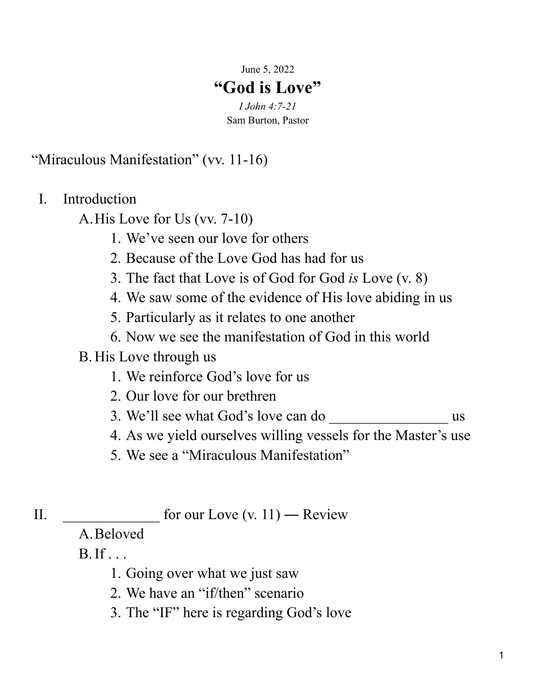June 5, 2022

## **"God is Love"**

*I John 4:7-21* Sam Burton, Pastor

"Miraculous Manifestation" (vv. 11-16)

I. Introduction

A.His Love for Us (vv. 7-10)

- 1. We've seen our love for others
- 2. Because of the Love God has had for us
- 3. The fact that Love is of God for God *is* Love (v. 8)
- 4. We saw some of the evidence of His love abiding in us
- 5. Particularly as it relates to one another
- 6. Now we see the manifestation of God in this world

## B.His Love through us

- 1. We reinforce God's love for us
- 2. Our love for our brethren
- 3. We'll see what God's love can do  $\qquad \qquad$  us
- 4. As we yield ourselves willing vessels for the Master's use
- 5. We see a "Miraculous Manifestation"
- II.  $\qquad \qquad \text{for our Love (v. 11)} \longrightarrow \text{Review}$

A.Beloved

 $B.$  If  $\ldots$ 

- 1. Going over what we just saw
- 2. We have an "if/then" scenario
- 3. The "IF" here is regarding God's love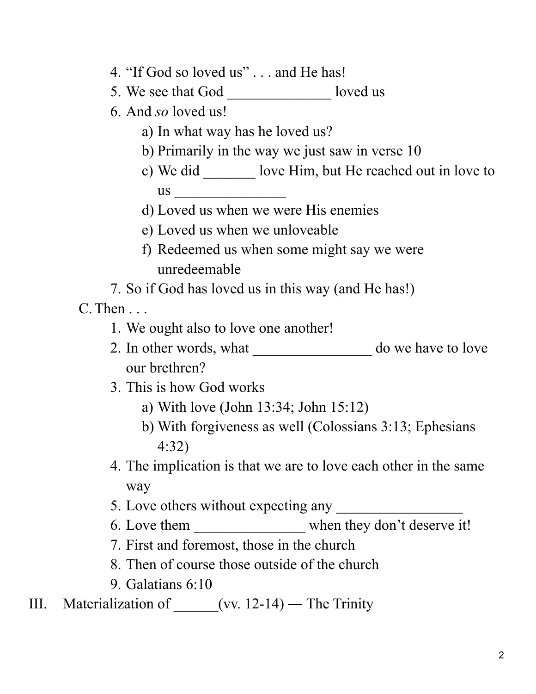- 4. "If God so loved us" . . . and He has!
- 5. We see that God \_\_\_\_\_\_\_\_\_\_\_\_\_\_\_\_ loved us
- 6. And *so* loved us!
	- a) In what way has he loved us?
	- b) Primarily in the way we just saw in verse 10
	- c) We did \_\_\_\_\_\_\_ love Him, but He reached out in love to us \_\_\_\_\_\_\_\_\_\_\_\_\_\_\_
	- d) Loved us when we were His enemies
	- e) Loved us when we unloveable
	- f) Redeemed us when some might say we were unredeemable
- 7. So if God has loved us in this way (and He has!)

C.Then . . .

- 1. We ought also to love one another!
- 2. In other words, what \_\_\_\_\_\_\_\_\_\_\_\_\_\_\_\_\_\_\_\_ do we have to love our brethren?
- 3. This is how God works
	- a) With love (John 13:34; John 15:12)
	- b) With forgiveness as well (Colossians 3:13; Ephesians 4:32)
- 4. The implication is that we are to love each other in the same way
- 5. Love others without expecting any
- 6. Love them \_\_\_\_\_\_\_\_\_\_\_\_\_\_\_\_\_ when they don't deserve it!
- 7. First and foremost, those in the church
- 8. Then of course those outside of the church
- 9. Galatians 6:10
- III. Materialization of  $_{\text{ev. 12-14}}$  The Trinity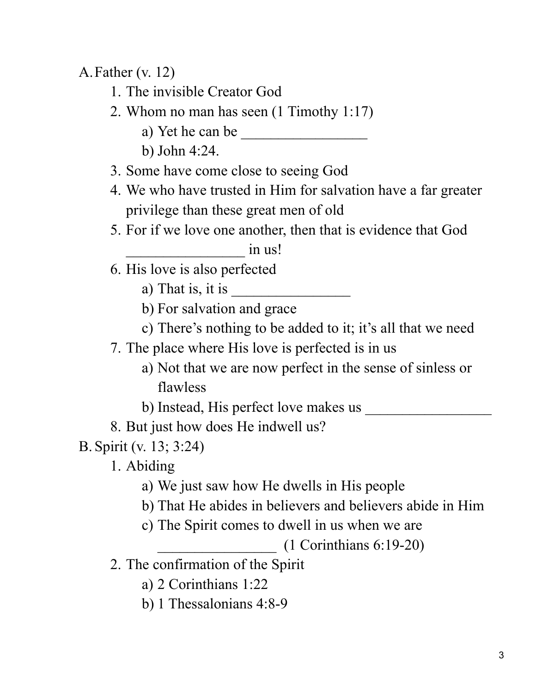A.Father (v. 12)

- 1. The invisible Creator God
- 2. Whom no man has seen (1 Timothy 1:17)
	- a) Yet he can be  $\frac{1}{\sqrt{1-\frac{1}{2}}}\left| \frac{1}{\sqrt{1-\frac{1}{2}}}\right|$
	- b) John 4:24.
- 3. Some have come close to seeing God
- 4. We who have trusted in Him for salvation have a far greater privilege than these great men of old
- 5. For if we love one another, then that is evidence that God

in us!

- 6. His love is also perfected
	- a) That is, it is
	- b) For salvation and grace
	- c) There's nothing to be added to it; it's all that we need
- 7. The place where His love is perfected is in us
	- a) Not that we are now perfect in the sense of sinless or flawless
	- b) Instead, His perfect love makes us \_\_\_\_\_\_\_\_\_\_\_\_\_\_\_\_\_
- 8. But just how does He indwell us?

B. Spirit (v. 13; 3:24)

- 1. Abiding
	- a) We just saw how He dwells in His people
	- b) That He abides in believers and believers abide in Him
	- c) The Spirit comes to dwell in us when we are

\_\_\_\_\_\_\_\_\_\_\_\_\_\_\_\_ (1 Corinthians 6:19-20)

- 2. The confirmation of the Spirit
	- a) 2 Corinthians 1:22
	- b) 1 Thessalonians 4:8-9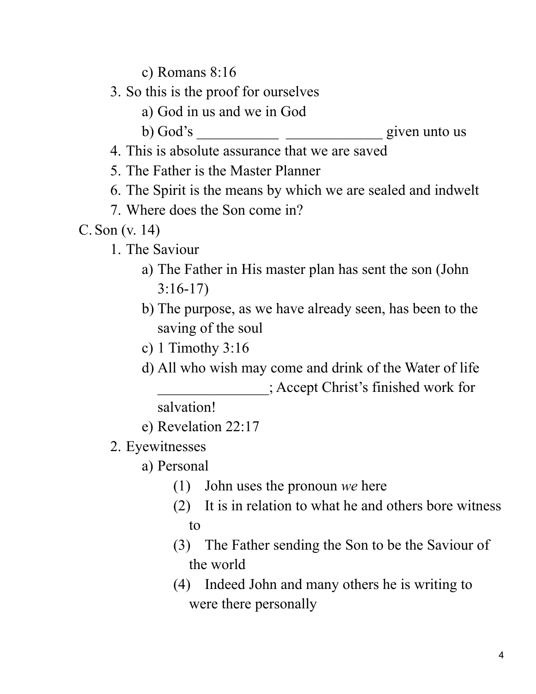c) Romans 8:16

- 3. So this is the proof for ourselves
	- a) God in us and we in God
	- b) God's \_\_\_\_\_\_\_\_\_\_\_ \_\_\_\_\_\_\_\_\_\_\_\_\_ given unto us
- 4. This is absolute assurance that we are saved
- 5. The Father is the Master Planner
- 6. The Spirit is the means by which we are sealed and indwelt
- 7. Where does the Son come in?
- C. Son (v. 14)
	- 1. The Saviour
		- a) The Father in His master plan has sent the son (John 3:16-17)
		- b) The purpose, as we have already seen, has been to the saving of the soul
		- c) 1 Timothy 3:16
		- d) All who wish may come and drink of the Water of life \_\_\_\_\_\_\_\_\_\_\_\_\_\_\_; Accept Christ's finished work for

salvation!

- e) Revelation 22:17
- 2. Eyewitnesses
	- a) Personal
		- (1) John uses the pronoun *we* here
		- (2) It is in relation to what he and others bore witness to
		- (3) The Father sending the Son to be the Saviour of the world
		- (4) Indeed John and many others he is writing to were there personally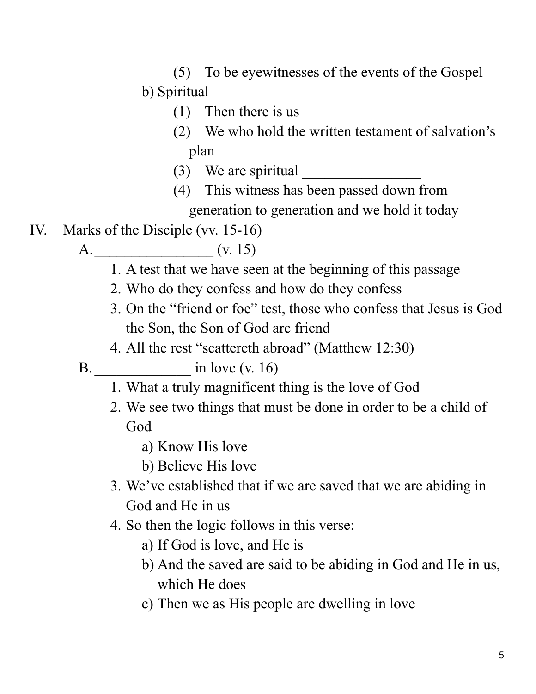- (5) To be eyewitnesses of the events of the Gospel b) Spiritual
	- (1) Then there is us
	- (2) We who hold the written testament of salvation's plan
	- (3) We are spiritual
	- (4) This witness has been passed down from generation to generation and we hold it today
- IV. Marks of the Disciple (vv. 15-16)
	- A.\_\_\_\_\_\_\_\_\_\_\_\_\_\_\_\_ (v. 15)
		- 1. A test that we have seen at the beginning of this passage
		- 2. Who do they confess and how do they confess
		- 3. On the "friend or foe" test, those who confess that Jesus is God the Son, the Son of God are friend
		- 4. All the rest "scattereth abroad" (Matthew 12:30)
	- B. \_\_\_\_\_\_\_\_\_\_\_\_\_ in love (v. 16)
		- 1. What a truly magnificent thing is the love of God
		- 2. We see two things that must be done in order to be a child of God
			- a) Know His love
			- b) Believe His love
		- 3. We've established that if we are saved that we are abiding in God and He in us
		- 4. So then the logic follows in this verse:
			- a) If God is love, and He is
			- b) And the saved are said to be abiding in God and He in us, which He does
			- c) Then we as His people are dwelling in love